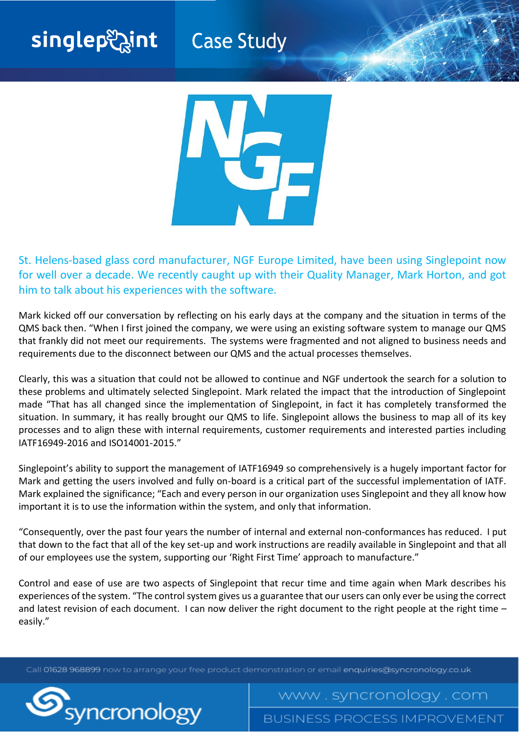## singlepහිint

**Case Study** 



St. Helens-based glass cord manufacturer, NGF Europe Limited, have been using Singlepoint now for well over a decade. We recently caught up with their Quality Manager, Mark Horton, and got him to talk about his experiences with the software.

Mark kicked off our conversation by reflecting on his early days at the company and the situation in terms of the QMS back then. "When I first joined the company, we were using an existing software system to manage our QMS that frankly did not meet our requirements. The systems were fragmented and not aligned to business needs and requirements due to the disconnect between our QMS and the actual processes themselves.

Clearly, this was a situation that could not be allowed to continue and NGF undertook the search for a solution to these problems and ultimately selected Singlepoint. Mark related the impact that the introduction of Singlepoint made "That has all changed since the implementation of Singlepoint, in fact it has completely transformed the situation. In summary, it has really brought our QMS to life. Singlepoint allows the business to map all of its key processes and to align these with internal requirements, customer requirements and interested parties including IATF16949-2016 and ISO14001-2015."

Singlepoint's ability to support the management of IATF16949 so comprehensively is a hugely important factor for Mark and getting the users involved and fully on-board is a critical part of the successful implementation of IATF. Mark explained the significance; "Each and every person in our organization uses Singlepoint and they all know how important it is to use the information within the system, and only that information.

"Consequently, over the past four years the number of internal and external non-conformances has reduced. I put that down to the fact that all of the key set-up and work instructions are readily available in Singlepoint and that all of our employees use the system, supporting our 'Right First Time' approach to manufacture."

Control and ease of use are two aspects of Singlepoint that recur time and time again when Mark describes his experiences of the system. "The control system gives us a guarantee that our users can only ever be using the correct and latest revision of each document. I can now deliver the right document to the right people at the right time – easily."

Call 01628 968899 now to arrange your free product demonstration or email enquiries@syncronology.co.uk



**BUSINESS PROCESS IMPROVEMENT** 

www.syncronology.com